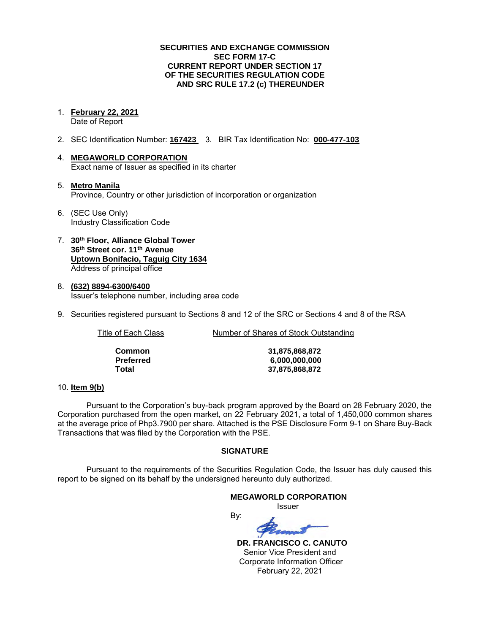### **SECURITIES AND EXCHANGE COMMISSION SEC FORM 17-C CURRENT REPORT UNDER SECTION 17 OF THE SECURITIES REGULATION CODE AND SRC RULE 17.2 (c) THEREUNDER**

1. **February 22, 2021** 

Date of Report

- 2. SEC Identification Number: **167423** 3. BIR Tax Identification No: **000-477-103**
- 4. **MEGAWORLD CORPORATION**  Exact name of Issuer as specified in its charter
- 5. **Metro Manila** Province, Country or other jurisdiction of incorporation or organization
- 6. (SEC Use Only) Industry Classification Code
- 7. **30th Floor, Alliance Global Tower 36th Street cor. 11th Avenue Uptown Bonifacio, Taguig City 1634** Address of principal office
- 8. **(632) 8894-6300/6400**  Issuer's telephone number, including area code
- 9. Securities registered pursuant to Sections 8 and 12 of the SRC or Sections 4 and 8 of the RSA

Title of Each Class Number of Shares of Stock Outstanding

| Common    |
|-----------|
| Preferred |
| Total     |

**Common 31,875,868,872 Preferred 6,000,000,000 Total 37,875,868,872**

### 10. **Item 9(b)**

Pursuant to the Corporation's buy-back program approved by the Board on 28 February 2020, the Corporation purchased from the open market, on 22 February 2021, a total of 1,450,000 common shares at the average price of Php3.7900 per share. Attached is the PSE Disclosure Form 9-1 on Share Buy-Back Transactions that was filed by the Corporation with the PSE.

## **SIGNATURE**

Pursuant to the requirements of the Securities Regulation Code, the Issuer has duly caused this report to be signed on its behalf by the undersigned hereunto duly authorized.

By:

### **MEGAWORLD CORPORATION**

*<u>Issuer</u> Issuer Issuer* 

 **DR. FRANCISCO C. CANUTO**  Senior Vice President and Corporate Information Officer February 22, 2021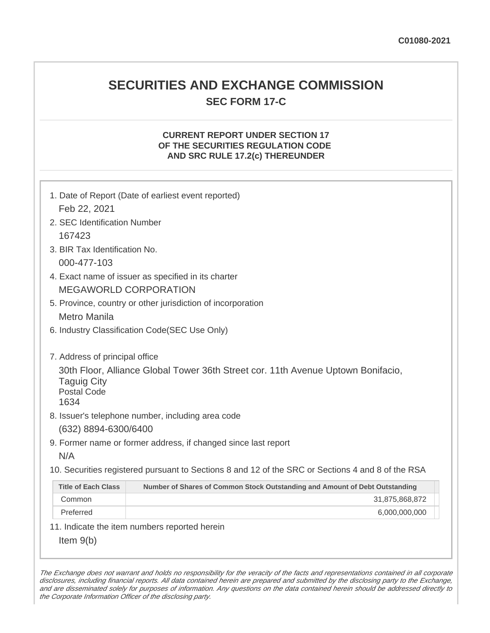## **SECURITIES AND EXCHANGE COMMISSION SEC FORM 17-C**

## **CURRENT REPORT UNDER SECTION 17 OF THE SECURITIES REGULATION CODE AND SRC RULE 17.2(c) THEREUNDER**

| 1. Date of Report (Date of earliest event reported)<br>Feb 22, 2021                                                                                                    |                                                                                                   |  |  |  |
|------------------------------------------------------------------------------------------------------------------------------------------------------------------------|---------------------------------------------------------------------------------------------------|--|--|--|
| 2. SEC Identification Number                                                                                                                                           |                                                                                                   |  |  |  |
| 167423                                                                                                                                                                 |                                                                                                   |  |  |  |
| 3. BIR Tax Identification No.                                                                                                                                          |                                                                                                   |  |  |  |
| 000-477-103                                                                                                                                                            |                                                                                                   |  |  |  |
| 4. Exact name of issuer as specified in its charter                                                                                                                    |                                                                                                   |  |  |  |
| <b>MEGAWORLD CORPORATION</b>                                                                                                                                           |                                                                                                   |  |  |  |
| 5. Province, country or other jurisdiction of incorporation                                                                                                            |                                                                                                   |  |  |  |
| <b>Metro Manila</b>                                                                                                                                                    |                                                                                                   |  |  |  |
| 6. Industry Classification Code(SEC Use Only)                                                                                                                          |                                                                                                   |  |  |  |
| 7. Address of principal office<br>30th Floor, Alliance Global Tower 36th Street cor. 11th Avenue Uptown Bonifacio,<br><b>Taguig City</b><br><b>Postal Code</b><br>1634 |                                                                                                   |  |  |  |
| 8. Issuer's telephone number, including area code                                                                                                                      |                                                                                                   |  |  |  |
| (632) 8894-6300/6400<br>9. Former name or former address, if changed since last report                                                                                 |                                                                                                   |  |  |  |
| N/A                                                                                                                                                                    |                                                                                                   |  |  |  |
|                                                                                                                                                                        | 10. Securities registered pursuant to Sections 8 and 12 of the SRC or Sections 4 and 8 of the RSA |  |  |  |
| <b>Title of Each Class</b>                                                                                                                                             | Number of Shares of Common Stock Outstanding and Amount of Debt Outstanding                       |  |  |  |
| Common                                                                                                                                                                 | 31,875,868,872                                                                                    |  |  |  |
| Preferred                                                                                                                                                              | 6,000,000,000                                                                                     |  |  |  |
| 11. Indicate the item numbers reported herein                                                                                                                          |                                                                                                   |  |  |  |
| Item $9(b)$                                                                                                                                                            |                                                                                                   |  |  |  |

The Exchange does not warrant and holds no responsibility for the veracity of the facts and representations contained in all corporate disclosures, including financial reports. All data contained herein are prepared and submitted by the disclosing party to the Exchange, and are disseminated solely for purposes of information. Any questions on the data contained herein should be addressed directly to the Corporate Information Officer of the disclosing party.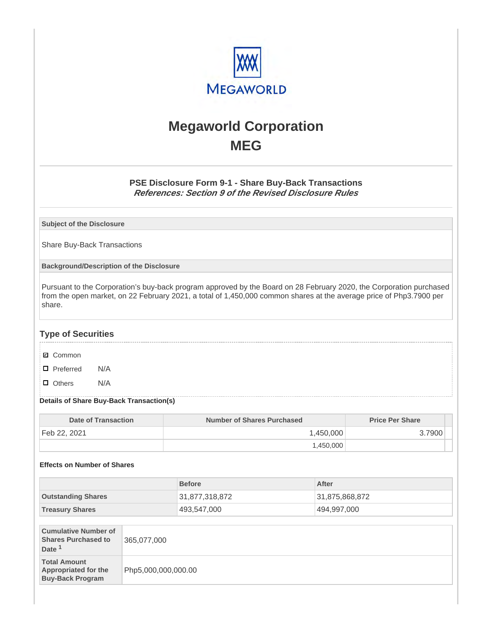

# **Megaworld Corporation MEG**

## **PSE Disclosure Form 9-1 - Share Buy-Back Transactions References: Section 9 of the Revised Disclosure Rules**

**Subject of the Disclosure**

Share Buy-Back Transactions

**Background/Description of the Disclosure**

Pursuant to the Corporation's buy-back program approved by the Board on 28 February 2020, the Corporation purchased from the open market, on 22 February 2021, a total of 1,450,000 common shares at the average price of Php3.7900 per share.

## **Type of Securities**

- **☑** Common
- □ Preferred N/A
- D Others N/A

### **Details of Share Buy-Back Transaction(s)**

| Date of Transaction | Number of Shares Purchased | <b>Price Per Share</b> |
|---------------------|----------------------------|------------------------|
| Feb 22, 2021        | 1,450,000                  | .7900                  |
|                     | 1.450.000                  |                        |

### **Effects on Number of Shares**

|                           | <b>Before</b>  | After          |
|---------------------------|----------------|----------------|
| <b>Outstanding Shares</b> | 31,877,318,872 | 31,875,868,872 |
| <b>Treasury Shares</b>    | 493,547,000    | 494,997,000    |

| <b>Cumulative Number of</b><br><b>Shares Purchased to</b><br>Date <sup>1</sup> | 365,077,000         |
|--------------------------------------------------------------------------------|---------------------|
| <b>Total Amount</b><br><b>Appropriated for the</b><br><b>Buy-Back Program</b>  | Php5,000,000,000.00 |